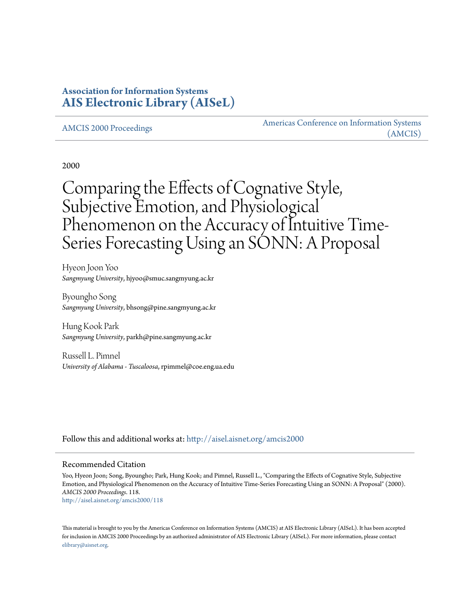# **Association for Information Systems [AIS Electronic Library \(AISeL\)](http://aisel.aisnet.org?utm_source=aisel.aisnet.org%2Famcis2000%2F118&utm_medium=PDF&utm_campaign=PDFCoverPages)**

[AMCIS 2000 Proceedings](http://aisel.aisnet.org/amcis2000?utm_source=aisel.aisnet.org%2Famcis2000%2F118&utm_medium=PDF&utm_campaign=PDFCoverPages)

[Americas Conference on Information Systems](http://aisel.aisnet.org/amcis?utm_source=aisel.aisnet.org%2Famcis2000%2F118&utm_medium=PDF&utm_campaign=PDFCoverPages) [\(AMCIS\)](http://aisel.aisnet.org/amcis?utm_source=aisel.aisnet.org%2Famcis2000%2F118&utm_medium=PDF&utm_campaign=PDFCoverPages)

2000

# Comparing the Effects of Cognative Style, Subjective Emotion, and Physiological Phenomenon on the Accuracy of Intuitive Time-Series Forecasting Using an SÓNN: A Proposal

Hyeon Joon Yoo *Sangmyung University*, hjyoo@smuc.sangmyung.ac.kr

Byoungho Song *Sangmyung University*, bhsong@pine.sangmyung.ac.kr

Hung Kook Park *Sangmyung University*, parkh@pine.sangmyung.ac.kr

Russell L. Pimnel *University of Alabama - Tuscaloosa*, rpimmel@coe.eng.ua.edu

Follow this and additional works at: [http://aisel.aisnet.org/amcis2000](http://aisel.aisnet.org/amcis2000?utm_source=aisel.aisnet.org%2Famcis2000%2F118&utm_medium=PDF&utm_campaign=PDFCoverPages)

#### Recommended Citation

Yoo, Hyeon Joon; Song, Byoungho; Park, Hung Kook; and Pimnel, Russell L., "Comparing the Effects of Cognative Style, Subjective Emotion, and Physiological Phenomenon on the Accuracy of Intuitive Time-Series Forecasting Using an SONN: A Proposal" (2000). *AMCIS 2000 Proceedings*. 118. [http://aisel.aisnet.org/amcis2000/118](http://aisel.aisnet.org/amcis2000/118?utm_source=aisel.aisnet.org%2Famcis2000%2F118&utm_medium=PDF&utm_campaign=PDFCoverPages)

This material is brought to you by the Americas Conference on Information Systems (AMCIS) at AIS Electronic Library (AISeL). It has been accepted for inclusion in AMCIS 2000 Proceedings by an authorized administrator of AIS Electronic Library (AISeL). For more information, please contact [elibrary@aisnet.org.](mailto:elibrary@aisnet.org%3E)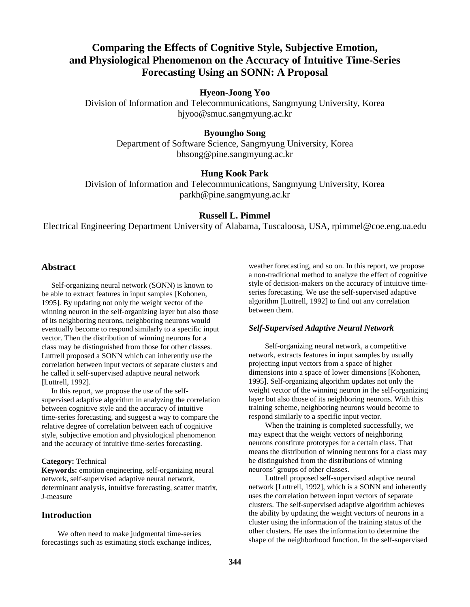# **Comparing the Effects of Cognitive Style, Subjective Emotion, and Physiological Phenomenon on the Accuracy of Intuitive Time-Series Forecasting Using an SONN: A Proposal**

# **Hyeon-Joong Yoo**

Division of Information and Telecommunications, Sangmyung University, Korea hjyoo@smuc.sangmyung.ac.kr

# **Byoungho Song**

Department of Software Science, Sangmyung University, Korea bhsong@pine.sangmyung.ac.kr

# **Hung Kook Park**

Division of Information and Telecommunications, Sangmyung University, Korea parkh@pine.sangmyung.ac.kr

## **Russell L. Pimmel**

Electrical Engineering Department University of Alabama, Tuscaloosa, USA, rpimmel@coe.eng.ua.edu

### **Abstract**

Self-organizing neural network (SONN) is known to be able to extract features in input samples [Kohonen, 1995]. By updating not only the weight vector of the winning neuron in the self-organizing layer but also those of its neighboring neurons, neighboring neurons would eventually become to respond similarly to a specific input vector. Then the distribution of winning neurons for a class may be distinguished from those for other classes. Luttrell proposed a SONN which can inherently use the correlation between input vectors of separate clusters and he called it self-supervised adaptive neural network [Luttrell, 1992].

In this report, we propose the use of the selfsupervised adaptive algorithm in analyzing the correlation between cognitive style and the accuracy of intuitive time-series forecasting, and suggest a way to compare the relative degree of correlation between each of cognitive style, subjective emotion and physiological phenomenon and the accuracy of intuitive time-series forecasting.

#### **Category:** Technical

**Keywords:** emotion engineering, self-organizing neural network, self-supervised adaptive neural network, determinant analysis, intuitive forecasting, scatter matrix, J-measure

### **Introduction**

We often need to make judgmental time-series forecastings such as estimating stock exchange indices, weather forecasting, and so on. In this report, we propose a non-traditional method to analyze the effect of cognitive style of decision-makers on the accuracy of intuitive timeseries forecasting. We use the self-supervised adaptive algorithm [Luttrell, 1992] to find out any correlation between them.

#### *Self-Supervised Adaptive Neural Network*

Self-organizing neural network, a competitive network, extracts features in input samples by usually projecting input vectors from a space of higher dimensions into a space of lower dimensions [Kohonen, 1995]. Self-organizing algorithm updates not only the weight vector of the winning neuron in the self-organizing layer but also those of its neighboring neurons. With this training scheme, neighboring neurons would become to respond similarly to a specific input vector.

 When the training is completed successfully, we may expect that the weight vectors of neighboring neurons constitute prototypes for a certain class. That means the distribution of winning neurons for a class may be distinguished from the distributions of winning neurons' groups of other classes.

Luttrell proposed self-supervised adaptive neural network [Luttrell, 1992], which is a SONN and inherently uses the correlation between input vectors of separate clusters. The self-supervised adaptive algorithm achieves the ability by updating the weight vectors of neurons in a cluster using the information of the training status of the other clusters. He uses the information to determine the shape of the neighborhood function. In the self-supervised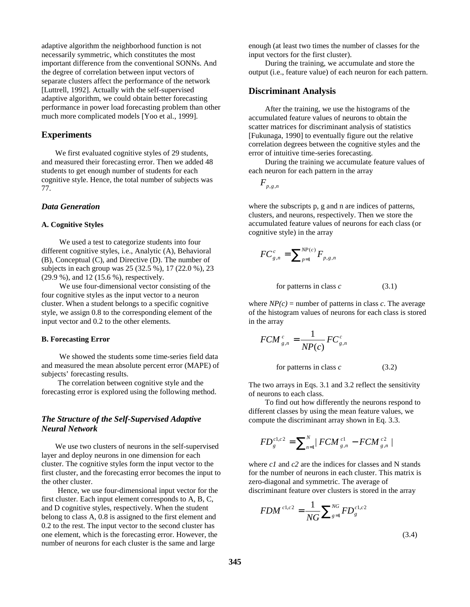adaptive algorithm the neighborhood function is not necessarily symmetric, which constitutes the most important difference from the conventional SONNs. And the degree of correlation between input vectors of separate clusters affect the performance of the network [Luttrell, 1992]. Actually with the self-supervised adaptive algorithm, we could obtain better forecasting performance in power load forecasting problem than other much more complicated models [Yoo et al., 1999].

# **Experiments**

We first evaluated cognitive styles of 29 students, and measured their forecasting error. Then we added 48 students to get enough number of students for each cognitive style. Hence, the total number of subjects was 77.

#### *Data Generation*

#### **A. Cognitive Styles**

We used a test to categorize students into four different cognitive styles, i.e., Analytic (A), Behavioral (B), Conceptual (C), and Directive (D). The number of subjects in each group was 25 (32.5 %), 17 (22.0 %), 23 (29.9 %), and 12 (15.6 %), respectively.

We use four-dimensional vector consisting of the four cognitive styles as the input vector to a neuron cluster. When a student belongs to a specific cognitive style, we assign 0.8 to the corresponding element of the input vector and 0.2 to the other elements.

#### **B. Forecasting Error**

We showed the students some time-series field data and measured the mean absolute percent error (MAPE) of subjects' forecasting results.

The correlation between cognitive style and the forecasting error is explored using the following method.

## *The Structure of the Self-Supervised Adaptive Neural Network*

We use two clusters of neurons in the self-supervised layer and deploy neurons in one dimension for each cluster. The cognitive styles form the input vector to the first cluster, and the forecasting error becomes the input to the other cluster.

Hence, we use four-dimensional input vector for the first cluster. Each input element corresponds to A, B, C, and D cognitive styles, respectively. When the student belong to class A, 0.8 is assigned to the first element and 0.2 to the rest. The input vector to the second cluster has one element, which is the forecasting error. However, the number of neurons for each cluster is the same and large

enough (at least two times the number of classes for the input vectors for the first cluster).

During the training, we accumulate and store the output (i.e., feature value) of each neuron for each pattern.

#### **Discriminant Analysis**

After the training, we use the histograms of the accumulated feature values of neurons to obtain the scatter matrices for discriminant analysis of statistics [Fukunaga, 1990] to eventually figure out the relative correlation degrees between the cognitive styles and the error of intuitive time-series forecasting.

During the training we accumulate feature values of each neuron for each pattern in the array

*Fp*,*g*,*<sup>n</sup>*

where the subscripts p, g and n are indices of patterns, clusters, and neurons, respectively. Then we store the accumulated feature values of neurons for each class (or cognitive style) in the array

$$
FC_{g,n}^{c} = \sum_{p=1}^{NP(c)} F_{p,g,n}
$$

for patterns in class  $c$  (3.1)

where  $NP(c)$  = number of patterns in class *c*. The average of the histogram values of neurons for each class is stored in the array

$$
FCM_{g,n}^c = \frac{1}{NP(c)}FC_{g,n}^c
$$

for patterns in class  $c$  (3.2)

The two arrays in Eqs. 3.1 and 3.2 reflect the sensitivity of neurons to each class.

 To find out how differently the neurons respond to different classes by using the mean feature values, we compute the discriminant array shown in Eq. 3.3.

$$
FD_{g}^{c1,c2} = \sum_{n=1}^{N} |FCM_{g,n}^{c1} - FCM_{g,n}^{c2}|
$$

where *c1* and *c2* are the indices for classes and N stands for the number of neurons in each cluster. This matrix is zero-diagonal and symmetric. The average of discriminant feature over clusters is stored in the array

$$
FDM^{c1,c2} = \frac{1}{NG} \sum_{g=1}^{NG} F D_g^{c1,c2}
$$
\n(3.4)